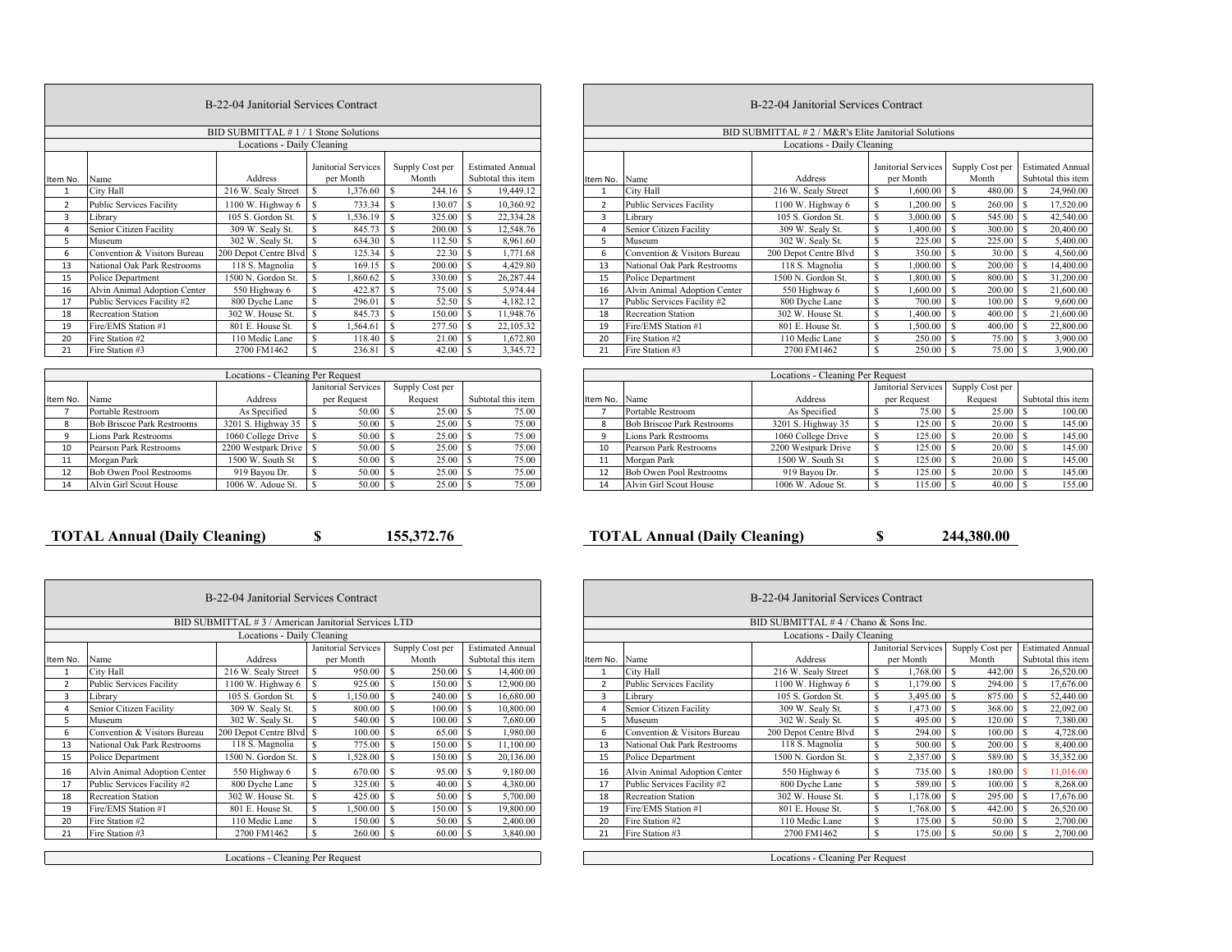|                | B-22-04 Janitorial Services Contract |                       |                                  |                          |                                               |  |  |  |  |  |  |  |  |  |  |
|----------------|--------------------------------------|-----------------------|----------------------------------|--------------------------|-----------------------------------------------|--|--|--|--|--|--|--|--|--|--|
|                | BID SUBMITTAL #1/1 Stone Solutions   |                       |                                  |                          |                                               |  |  |  |  |  |  |  |  |  |  |
|                | Locations - Daily Cleaning           |                       |                                  |                          |                                               |  |  |  |  |  |  |  |  |  |  |
| Item No.       | Name                                 | <b>Address</b>        | Janitorial Services<br>per Month | Supply Cost per<br>Month | <b>Estimated Annual</b><br>Subtotal this item |  |  |  |  |  |  |  |  |  |  |
| 1              | City Hall                            | 216 W. Sealy Street   | S<br>1,376.60                    | S<br>244.16              | S<br>19,449.12                                |  |  |  |  |  |  |  |  |  |  |
| $\overline{a}$ | <b>Public Services Facility</b>      | 1100 W. Highway 6     | Ś<br>733.34                      | S<br>130.07              | S<br>10,360.92                                |  |  |  |  |  |  |  |  |  |  |
| 3              | Library                              | 105 S. Gordon St.     | S<br>1,536.19                    | S<br>325.00              | 22,334.28<br>S                                |  |  |  |  |  |  |  |  |  |  |
| $\overline{4}$ | Senior Citizen Facility              | 309 W. Sealy St.      | Ś<br>845.73                      | S<br>200.00              | S<br>12,548.76                                |  |  |  |  |  |  |  |  |  |  |
| 5              | Museum                               | 302 W. Sealv St.      | Ś<br>634.30                      | S<br>112.50              | S<br>8.961.60                                 |  |  |  |  |  |  |  |  |  |  |
| 6              | Convention & Visitors Bureau         | 200 Depot Centre Blvd | S<br>125.34                      | \$<br>22.30              | 1,771.68<br>S                                 |  |  |  |  |  |  |  |  |  |  |
| 13             | National Oak Park Restrooms          | 118 S. Magnolia       | Ś<br>169.15                      | S<br>200.00              | S<br>4,429.80                                 |  |  |  |  |  |  |  |  |  |  |
| 15             | Police Department                    | 1500 N. Gordon St.    | Ś<br>1,860.62                    | S<br>330.00              | S<br>26,287.44                                |  |  |  |  |  |  |  |  |  |  |
| 16             | Alvin Animal Adoption Center         | 550 Highway 6         | S<br>422.87                      | S<br>75.00               | S<br>5,974.44                                 |  |  |  |  |  |  |  |  |  |  |
| 17             | Public Services Facility #2          | 800 Dyche Lane        | Ś<br>296.01                      | S<br>52.50               | S<br>4,182.12                                 |  |  |  |  |  |  |  |  |  |  |
| 18             | <b>Recreation Station</b>            | 302 W. House St.      | S<br>845.73                      | S<br>150.00              | S<br>11,948.76                                |  |  |  |  |  |  |  |  |  |  |
| 19             | Fire/EMS Station #1                  | 801 E. House St.      | S<br>1,564.61                    | S<br>277.50              | S<br>22,105.32                                |  |  |  |  |  |  |  |  |  |  |
| 20             | Fire Station #2                      | 110 Medic Lane        | Ś<br>118.40                      | S<br>21.00               | S<br>1,672.80                                 |  |  |  |  |  |  |  |  |  |  |
| 21             | Fire Station #3                      | 2700 FM1462           | Ś<br>236.81                      | S<br>42.00               | S<br>3,345.72                                 |  |  |  |  |  |  |  |  |  |  |

|          | Locations - Cleaning Per Request  |                     |   |                     |  |                 |                    |       |  |  |  |  |  |  |
|----------|-----------------------------------|---------------------|---|---------------------|--|-----------------|--------------------|-------|--|--|--|--|--|--|
|          |                                   |                     |   | Janitorial Services |  | Supply Cost per |                    |       |  |  |  |  |  |  |
| Item No. | Name                              | Address             |   | per Request         |  | Request         | Subtotal this item |       |  |  |  |  |  |  |
|          | Portable Restroom                 | As Specified        | S | 50.00               |  | 25.00           |                    | 75.00 |  |  |  |  |  |  |
| 8        | <b>Bob Briscoe Park Restrooms</b> | 3201 S. Highway 35  |   | 50.00               |  | 25.00           |                    | 75.00 |  |  |  |  |  |  |
| 9        | Lions Park Restrooms              | 1060 College Drive  |   | 50.00               |  | 25.00           |                    | 75.00 |  |  |  |  |  |  |
| 10       | Pearson Park Restrooms            | 2200 Westpark Drive |   | 50.00               |  | 25.00           |                    | 75.00 |  |  |  |  |  |  |
| 11       | Morgan Park                       | 1500 W. South St    | S | 50.00               |  | 25.00           |                    | 75.00 |  |  |  |  |  |  |
| 12       | <b>Bob Owen Pool Restrooms</b>    | 919 Bayou Dr.       | S | 50.00               |  | 25.00           |                    | 75.00 |  |  |  |  |  |  |
| 14       | Alvin Girl Scout House            | 1006 W. Adoue St.   | S | 50.00               |  | 25.00           |                    | 75.00 |  |  |  |  |  |  |

|    | B-22-04 Janitorial Services Contract<br>BID SUBMITTAL #1/1 Stone Solutions |                            |                                  |                          |                                               |  | B-22-04 Janitorial Services Contract |                                 |                                                   |                                                  |        |  |                                               |  |  |
|----|----------------------------------------------------------------------------|----------------------------|----------------------------------|--------------------------|-----------------------------------------------|--|--------------------------------------|---------------------------------|---------------------------------------------------|--------------------------------------------------|--------|--|-----------------------------------------------|--|--|
|    |                                                                            |                            |                                  |                          |                                               |  |                                      |                                 | BID SUBMITTAL #2/M&R's Elite Janitorial Solutions |                                                  |        |  |                                               |  |  |
|    |                                                                            | Locations - Daily Cleaning |                                  |                          |                                               |  |                                      |                                 | Locations - Daily Cleaning                        |                                                  |        |  |                                               |  |  |
|    | No. Name                                                                   | Address                    | Janitorial Services<br>per Month | Supply Cost per<br>Month | <b>Estimated Annual</b><br>Subtotal this item |  | Item No. Name                        |                                 | Address                                           | Janitorial Services Supply Cost per<br>per Month | Month  |  | <b>Estimated Annual</b><br>Subtotal this item |  |  |
|    | City Hall                                                                  | 216 W. Sealy Street        | 1,376.60<br>-S                   | $244.16$ \$              | 19,449.12                                     |  |                                      | City Hall                       | 216 W. Sealy Street                               | 1,600.00                                         | 480.00 |  | 24,960.00                                     |  |  |
|    | <b>Public Services Facility</b>                                            | 1100 W. Highway 6          | 733.34 \$                        | 130.07                   | 10,360.92<br>$\overline{\phantom{a}}$         |  |                                      | <b>Public Services Facility</b> | 1100 W. Highway 6                                 | 1,200.00                                         | 260.00 |  | 17,520.00                                     |  |  |
|    | Library                                                                    | 105 S. Gordon St.          | .536.19                          | 325.00 \$                | 22,334.28                                     |  |                                      | Library                         | 105 S. Gordon St.                                 | 3,000.00                                         | 545.00 |  | 42,540.00                                     |  |  |
|    | Senior Citizen Facility                                                    | 309 W. Sealv St.           | 845.73                           | 200.00 \$                | 12,548.76                                     |  |                                      | Senior Citizen Facility         | 309 W. Sealy St.                                  | 1,400.00                                         | 300.00 |  | 20,400.00                                     |  |  |
|    | Museum                                                                     | 302 W. Sealy St.           | 634.30                           | $112.50$ \$              | 8,961.60                                      |  |                                      | Museum                          | 302 W. Sealy St.                                  | 225.00                                           | 225.00 |  | 5,400.00                                      |  |  |
|    | Convention & Visitors Bureau                                               | 200 Depot Centre Blvd \$   | 125.34                           | 22.30S                   | 1,771.68                                      |  |                                      | Convention & Visitors Bureau    | 200 Depot Centre Blvd                             | 350.00                                           | 30.00  |  | 4,560.00                                      |  |  |
|    | National Oak Park Restrooms                                                | 118 S. Magnolia            | 169.15                           | $200.00$ \$              | 4,429.80                                      |  | 13                                   | National Oak Park Restrooms     | 118 S. Magnolia                                   | 1,000.00                                         | 200.00 |  | 14,400.00                                     |  |  |
|    | Police Department                                                          | 1500 N. Gordon St.         | .860.62                          |                          | 26,287.44                                     |  | 15                                   | Police Department               | 1500 N. Gordon St.                                | 1.800.00                                         | 800.00 |  | 31,200.00                                     |  |  |
| 16 | Alvin Animal Adoption Center                                               | 550 Highway 6              | 422.87                           |                          | 5.974.44                                      |  | 16                                   | Alvin Animal Adoption Center    | 550 Highway 6                                     | 1.600.00                                         | 200.00 |  | 21,600.00                                     |  |  |
|    | Public Services Facility #2                                                | 800 Dyche Lane             | 296.01                           | 52.50 \$                 | 4,182.12                                      |  | 17                                   | Public Services Facility #2     | 800 Dyche Lane                                    | 700.00                                           | 100.00 |  | 9,600.00                                      |  |  |
|    | <b>Recreation Station</b>                                                  | 302 W. House St.           | 845.73                           | 150.00 \$                | 1,948.76                                      |  | 18                                   | <b>Recreation Station</b>       | 302 W. House St.                                  | 1,400.00                                         | 400.00 |  | 21,600.00                                     |  |  |
|    | Fire/EMS Station #1                                                        | 801 E. House St.           | 1,564.61                         | 277.50 \$                | 22,105.32                                     |  | 19                                   | Fire/EMS Station #1             | 801 E. House St.                                  | 1,500.00                                         | 400.00 |  | 22,800.00                                     |  |  |
|    | Fire Station #2                                                            | 110 Medic Lane             | 118.40                           | 21.00S                   | 1,672.80                                      |  | 20                                   | Fire Station #2                 | 110 Medic Lane                                    | 250.00                                           | 75.00  |  | 3,900.00                                      |  |  |
|    | Fire Station #3                                                            | 2700 FM1462                | 236.81                           | $42.00 \, \text{S}$      | 3,345.72                                      |  | 21                                   | Fire Station #3                 | 2700 FM1462                                       | 250.00                                           | 75.00  |  | 3,900.00                                      |  |  |
|    |                                                                            |                            |                                  |                          |                                               |  |                                      |                                 |                                                   |                                                  |        |  |                                               |  |  |

|     |                                   | Locations - Cleaning Per Request |                     |                 |                    |                 |                                   |                     |                     |                 |                    |  |
|-----|-----------------------------------|----------------------------------|---------------------|-----------------|--------------------|-----------------|-----------------------------------|---------------------|---------------------|-----------------|--------------------|--|
|     |                                   |                                  | Janitorial Services | Supply Cost per |                    |                 |                                   |                     | Janitorial Services | Supply Cost per |                    |  |
| No. | Name                              | Address                          | per Request         | Request         | Subtotal this item | Item No. Name   |                                   | Address             | per Request         | Request         | Subtotal this item |  |
|     | Portable Restroom                 | As Specified                     | 50.00               | 25.00           | 75.00              |                 | Portable Restroom                 | As Specified        | 75.00               | 25.00           | 100.00             |  |
|     | <b>Bob Briscoe Park Restrooms</b> | 3201 S. Highway 35               | 50.00               | 25.00           | 75.00              |                 | <b>Bob Briscoe Park Restrooms</b> | 3201 S. Highway 35  | 125.00              | 20.00           | 145.00             |  |
|     | Lions Park Restrooms              | 1060 College Drive               | 50.00               | 25.00           | 75.00              |                 | Lions Park Restrooms              | 1060 College Drive  | 125.00              | 20.00           | 145.00             |  |
|     | Pearson Park Restrooms            | 2200 Westpark Drive              | 50.00               | 25.00           | 75.00              | 10 <sup>1</sup> | Pearson Park Restrooms            | 2200 Westpark Drive | 125.00              | 20.00           | 145.00             |  |
|     | Morgan Park                       | 1500 W. South St                 | 50.00               | 25.00           | 75.00              |                 | Morgan Park                       | 1500 W. South St    | 125.00              | 20.00           | 145.00             |  |
|     | Bob Owen Pool Restrooms           | 919 Bayou Dr.                    | 50.00               | 25.00           | 75.00              |                 | <b>Bob Owen Pool Restrooms</b>    | 919 Bavou Dr.       | 125.00              | 20.00           | 145.00             |  |
|     | Alvin Girl Scout House            | 1006 W. Adoue St.                | 50.00               | 25.00           | 75.00              |                 | Alvin Girl Scout House            | 1006 W. Adoue St.   | 115.00              | 40.00           | 155.00             |  |

┓

 **TOTAL Annual (Daily Cleaning) <br><b>3 244,380.00 5** <br>**155,372.76 b TOTAL Annual (Daily Cleaning) 5** <br>**244,380.00** 

|                | B-22-04 Janitorial Services Contract                |                       |                     |                 |                         |  |  |  |  |  |  |  |  |  |  |
|----------------|-----------------------------------------------------|-----------------------|---------------------|-----------------|-------------------------|--|--|--|--|--|--|--|--|--|--|
|                | BID SUBMITTAL #3 / American Janitorial Services LTD |                       |                     |                 |                         |  |  |  |  |  |  |  |  |  |  |
|                | Locations - Daily Cleaning                          |                       |                     |                 |                         |  |  |  |  |  |  |  |  |  |  |
|                |                                                     |                       | Janitorial Services | Supply Cost per | <b>Estimated Annual</b> |  |  |  |  |  |  |  |  |  |  |
| Item No.       | Name                                                | <b>Address</b>        | per Month           | Month           | Subtotal this item      |  |  |  |  |  |  |  |  |  |  |
| $\mathbf{1}$   | City Hall                                           | 216 W. Sealy Street   | S<br>950.00         | S<br>250.00     | \$<br>14,400.00         |  |  |  |  |  |  |  |  |  |  |
| $\overline{2}$ | <b>Public Services Facility</b>                     | 1100 W. Highway 6     | S<br>925.00         | S<br>150.00     | \$<br>12,900.00         |  |  |  |  |  |  |  |  |  |  |
| 3              | Library                                             | 105 S. Gordon St.     | S<br>1,150.00       | S<br>240.00     | S<br>16,680.00          |  |  |  |  |  |  |  |  |  |  |
| 4              | Senior Citizen Facility                             | 309 W. Sealy St.      | S<br>800.00         | S<br>100.00     | S<br>10,800.00          |  |  |  |  |  |  |  |  |  |  |
| 5              | Museum                                              | 302 W. Sealv St.      | S<br>540.00         | S<br>100.00     | S<br>7,680.00           |  |  |  |  |  |  |  |  |  |  |
| 6              | Convention & Visitors Bureau                        | 200 Depot Centre Blvd | S<br>100.00         | S<br>65.00      | S<br>1,980.00           |  |  |  |  |  |  |  |  |  |  |
| 13             | National Oak Park Restrooms                         | 118 S. Magnolia       | S<br>775.00         | S<br>150.00     | S<br>11,100.00          |  |  |  |  |  |  |  |  |  |  |
| 15             | Police Department                                   | 1500 N. Gordon St.    | S<br>1,528.00       | S<br>150.00     | \$<br>20,136.00         |  |  |  |  |  |  |  |  |  |  |
| 16             | Alvin Animal Adoption Center                        | 550 Highway 6         | S<br>670.00         | S<br>95.00      | S<br>9,180.00           |  |  |  |  |  |  |  |  |  |  |
| 17             | Public Services Facility #2                         | 800 Dyche Lane        | S<br>325.00         | S<br>40.00      | \$<br>4.380.00          |  |  |  |  |  |  |  |  |  |  |
| 18             | <b>Recreation Station</b>                           | 302 W. House St.      | S<br>425.00         | S<br>50.00      | \$<br>5,700.00          |  |  |  |  |  |  |  |  |  |  |
| 19             | Fire/EMS Station #1                                 | 801 E. House St.      | S<br>1.500.00       | S<br>150.00     | \$<br>19,800.00         |  |  |  |  |  |  |  |  |  |  |
| 20             | Fire Station #2                                     | 110 Medic Lane        | S<br>150.00         | S<br>50.00      | S<br>2,400.00           |  |  |  |  |  |  |  |  |  |  |
| 21             | Fire Station #3                                     | 2700 FM1462           | S<br>260.00         | S<br>60.00      | S<br>3,840.00           |  |  |  |  |  |  |  |  |  |  |

Locations - Cleaning Per Request

**If the No. Name** Address **If the Address** Janitorial Services per Month $1,768.00$ Supply Cost per MonthEstimated Annual Subtotal this item26,520.00 216 W. Sealy Street 1 S = 950.00 | \$ 250.00 | \$ 14,400.00 | | 1 | City Hall = | 216 W. Sealy Street | \$ 1,768.00 | \$ 442.00 | \$ 26,520.00 } \$ 26,520.00 } \$ 26,520.00 } \$ 26,520.00 } \$ 26,520.00 } \$ 26,520.00 } \$ 26,520.00 2 Public Services Facility | 1100 W. Highway 6 | \$ 925.00 | \$ 150.00 | \$ 12,900.00 | | 2 Public Services Facility | 1100 W. Highway 6 | \$ 1,179.00 | \$ 294.00 | \$ 17,676.00 105 S. Gordon St. 1,150.00 | \$ 240.00 | \$ 16,680.00 | \$ 3 | Library | 105 S. Gordon St. | \$ 3,495.00 | \$ 875.00 | \$ 52,440.00 | \$ 52,440.00 | \$ 52,440.00 | \$ 52,440.00 | \$ 52,440.00 | \$ 52,440.00 | \$ 52,440.00 | \$ 52,440.0 4 Senior Citizen Facility | 309 W. Sealy St. | \$ 800.00 | \$ 10,800.00 | 4 Senior Citizen Facility | 309 W. Sealy St. | \$ 1,473.00 | \$ 368.00 | \$ 22,092.00 302 W. Sealy St. 540.00 | \$ 100.00 | \$ 7,680.00 | \$ 5 |Museum | 302 W. Sealy St. | \$ 495.00 | \$ 120.00 | \$ 7,380.00 | \$ 7,380.00 6 Convention & Visitors Bureau 200 Depot Centre Blvd \$ 100.00 \$ 65.00 \$ 1,980.00 \$ 1,980.00 \$ 1,980.00 \$ 1,980.00 \$ 1,980.00 \$ 1,980.00 \$ 1,728.00 13 National Oak Park Restrooms | 118 S. Magnolia | \$775.00 | \$150.00 | \$11,100.00 | \$13 | National Oak Park Restrooms | \$18 S. Magnolia | \$500.00 | \$500.00 | \$5,400.00 1500 N. Gordon St. 1,500 N. Gordon St. 1,528.00 \ \$ 150.00 \ \$ 20,136.00 \ 15 \ Police Department 1 1500 N. Gordon St. 1, \$ 2,357.00 \ \$ 589.00 \ \$ 35,352.00 \ \$ 35,352.00 \ \$ 35,352.00 \ \$ 35,352.00 \ \$ 35,352.00 \ \$ 35,3 550 Highway 6 | S50 Highway 6 | \$ 670.00 | \$ 95.00 | \$ 9,180.00 | \$ | Alvin Animal Adoption Center | \$ 50 Highway 6 | \$ 735.00 | \$ 11,016.00 | \$ 11,016.00 7 Public Services Facility #2 | 800 Dyche Lane | \$ 325.00 | \$ 40.00 | \$ 4,380.00 | | 17 Public Services Facility #2 | 800 Dyche Lane | \$ 589.00 | \$ 100.00 | \$ 8,268.00 302 W. House St. | 1302 W. House St. | S 425.00 | S 5,000 | S 5,700.00 | | 18 | Recreation Station | 302 W. House St. | S 1,178.00 | S 295.00 | S 17,676.00 81 Eire/EMS Station #1 (801 E. House St. 1,800.00 | \$ 150.00 | \$ 19,800.00 | 19 | Fire/EMS Station #1 | 801 E. House St. 1,8 1,768.00 | \$ 442.00 | \$ 26,520.00 | \$ 26,520.00 | \$ 26,520.00 | \$ 442.00 | \$ 26,520.00 | \$ 26,520 0 Fire Station #2 110 Medic Lane 1 \$ 150.00 | \$ 50.00 | \$ 2,400.00 | | 20 | Fire Station #2 | 110 Medic Lane 1 \$ 175.00 | \$ 50.00 | \$ 2,700.00 1 Fire Station #3 2700 FM1462 8 260.00 | \$ 60.00 | \$ 3,840.00 | 21 Fire Station #3 | 2700 FM1462 | \$ 175.00 | \$ 50.00 | \$ 2,700.00 Fire/EMS Station #1 Fire Station #2Fire Station #3 Public Services Facility #2 Recreation Station MuseumPolice Department City Hall BID SUBMITTAL # 4 / Chano & Sons Inc. Locations - Daily Cleaning Senior Citizen Facility Public Services Facility Library Name

B-22-04 Janitorial Services Contract

Locations - Cleaning Per Request